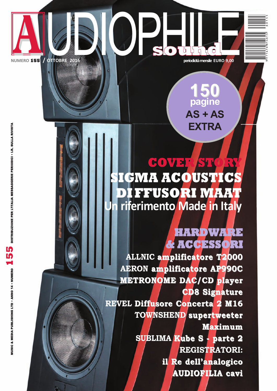

SOUTAC

NUMERO 155 / OTTOBRE 2016

50 pagine  $AS + AS$ **EXTRA** 

## COVEI ICMA ACOUSTIC DIFFUSORI MAAT riferimento Made in Italy

### **HARDWARE & ACCESSORI**

ALLNIC amplificatore T2000 **AERON amplificatore AP990C METRONOME DAC/CD player CD8 Signature** REVEL Diffusore Concerta 2 M16 TOWNSHEND supertweeter **Maximum SUBLIMA Kube S - parte 2 REGISTRATORI:** il Re dell'analogico **AUDIOFILIA cavi**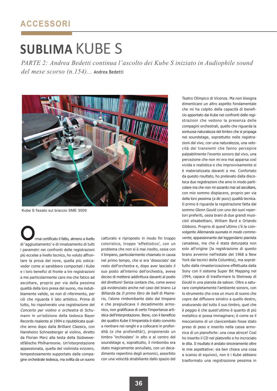# **SUBLIMA KUBE S**

PARTE 2: Andrea Bedetti continua l'ascolto dei Kube S iniziato in Audiophile sound del mese scorso (n.154)... Andrea Bedetti



Kube S fissato sul braccio SME 3009

rmai certificato il fatto, almeno a livello di 'aggiustamento' e di innalzamento di tutti i parametri nei confronti delle registrazioni più eccelse a livello tecnico, ho voluto affrontare la prova del nove, quella più ostica: veder come si sarebbero comportati i Kube e i loro benefici di fronte a tre registrazioni a me particolarmente care ma che fatico ad ascoltare, proprio per via della pessima qualità della loro presa del suono, ma indubbiamente valide, se non di riferimento, per ciò che riguarda il lato artistico. Prima di tutto, ho rispolverato una registrazione del Concerto per violino e orchestra di Schumann in un'edizione della tedesca Bayer Records risalente al 1994 e ripubblicata qualche anno dopo dalla Brilliant Classics, con Hansheinz Schneeberger al violino, diretto da Florian Merz alla testa della Südwewestfälische Philharmonie. Un'interpretazione appassionata, quella del violinista svizzero, tempestosamente supportato dalla compagine orchestrale tedesca, ma svilita da un suono

catturato e riproposto in modo fin troppo coloristico, troppo 'effettistico', con un problema che non si è mai risolto, ossia con il timpano, particolarmente chiamato in causa nel primo tempo, che si era 'dissociato' dal resto dell'orchestra e, dopo aver lasciato il suo posto all'interno dell'orchestra, aveva deciso di mettersi addirittura davanti al podio del direttore! Senza contare che, come avevo già evidenziato anche nel caso del brano La Billiarda da Il primo libro de balli di Mainerio. l'alone rimbombante dato dal timpano e che pregiudicava il decadimento armonico, non gratificava di certo l'importanza artistica dell'interpretazione. Bene, con il beneficio dei quattro Kube il timpanista è stato convinto a rientrare nei ranghi e a collocarsi in profondità (e che profondità!), proponendo un timbro 'inchiodato' in alto e al centro del soundstage e, soprattutto, il rimbombo era stato magicamente annullato, con un decadimento repentino degli armonici, assorbito con una velocità strabiliante dallo spazio del Teatro Olimpico di Vicenza. Ma non bisogna dimenticare un altro aspetto fondamentale che mi ha colpito della capacità di beneficio apportato dai Kube nei confronti delle registrazioni che vedono la presenza delle compagini orchestrali, quello che riguarda la sontuosa naturalezza del timbro che si propaga nel soundstage, soprattutto nelle registrazioni dal vivo, con una naturalezza, una velocità dei transienti che fanno percepire palpabilmente l'evento sonoro dal vivo, una percezione che non mi era mai apparsa così vivida e realistica e che improvvisamente si è materializzata davanti a me. Confortato da questo risultato, ho prelevato dalla discoteca due registrazioni che amo in modo particolare ma che non mi azzardo mai ad ascoltare, con mio sommo dispiacere, proprio per via della loro pessima (a dir poco) qualità tecnica. Il primo è riguarda la registrazione fatta dal sommo Glenn Gould con uno dei suoi repertori preferiti, ossia brani di due grandi musicisti elisabettiani, William Byrd e Orlando Gibbons. Proprio di quest'ultimo c'è la coinvolgente Allemanda suonata in modo commovente, appassionante dal leggendario pianista canadese, ma che è stata deturpata non solo all'origine (la registrazione di questo brano avvenne nell'estate del 1968 a New York dai tecnici della Columbia), ma soprattutto dalla rimasterizzazione effettuata dalla Sony con il sistema Super Bit Mapping nel 1994, capace di trasformare lo Steinway di Gould in una pianola da saloon. Oltre a saturare completamente l'ambiente sonoro, con lo strumento che crea un muro di suono che copre dal diffusore sinistro a quello destro, snaturando del tutto il suo timbro, quel che è peggio è che quest'ultimo è quanto di più metallico si possa immaginare; è come se il meccanismo di un clavicembalo fosse stato preso di peso e inserito nella cassa armonica di un pianoforte: una cosa atroce! Così ho inserito il CD nel platorello e ho incrociato le dita Il risultato è andato sinceramente oltre le mie aspettative: sia ben chiara una cosa a scanso di equivoci, non è i Kube abbiano trasformato una registrazione pessima in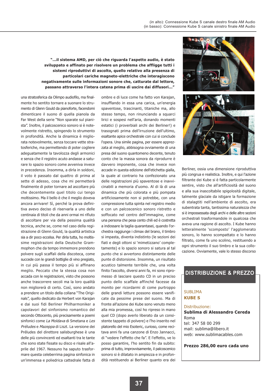"...il sistema AMD, per ciò che riguarda l'aspetto audio, è stato sviluppato e affinato per risolvere un problema che affligge tutti i sistemi riproduttivi di ascolto, quello relativo alla presenza di particolari cariche magneto-elettriche che interagiscono negativamente sulle informazioni sonore che, catturate dal lettore, passano attraverso l'intera catena prima di uscire dai diffusori..."

una stratosferica da Olimpo audiofilo, ma finalmente ho sentito tornare a suonare lo strumento di Glenn Gould da pianoforte, facendomi dimenticare il suono di quella pianola da Far West della serie "Non sparate sul pianista". Inoltre, il palcoscenico sonoro si è notevolmente ristretto, spingendo lo strumento in profondità. Anche la dinamica è migliorata notevolmente, senza toccare vette stratosferiche, ma permettendo di poter cogliere adeguatamente la tavolozza degli armonici e senza che il registro acuto andasse a saturare lo spazio sonoro come avveniva invece in precedenza. Insomma, a dirla in soldoni, il voto è passato dal quattro di prima al sette di adesso, cosa che mi permetterà finalmente di poter tornare ad ascoltare più che decentemente quel titolo cui tengo moltissimo. Ma il bello è che il meglio doveva ancora arrivare! Sì, perché la prova definitiva avevo deciso di riservarla a uno delle centinaia di titoli che da anni ormai mi rifiuto di ascoltare per via della pessima qualità tecnica, anche se, come nel caso della registrazione di Glenn Gould, la qualità artistica sia a dir poco eccelsa. Per dirla tutta, ho moltissime registrazioni della Deutsche Grammophon che da tempo immemore prendono polvere sugli scaffali della discoteca, come succede con le grandi bottiglie di vino pregiato. in cui più passa il tempo più si affinano meglio. Peccato che la stessa cosa non accada con le registrazioni, visto che possono anche trascorrere secoli ma la loro qualità non migliorerà di certo. Così, sono andato a prendere un titolo della collana "The Originals", quello dedicato da Herbert von Karajan e dai suoi fidi Berliner Philharmoniker a capolavori del sinfonismo romantico del secondo Ottocento, più precisamente a poemi sinfonici come La Moldava di Smetana e Les Préludes e Mazeppa di Liszt. La versione dei Préludes del direttore salisburghese è una delle più convincenti ed esaltanti tra le tante che sono state fissate su disco e risale all'aprile del 1967. Nessuno ha saputo trasformare questa celeberrima pagina sinfonica in un'immensa e poliedrica cattedrale fatta di

ombre e di luce come ha fatto von Karajan, insufflando in essa una carica, un'energia spaventose, trascinanti, titaniche ma, allo stesso tempo, non rinunciando a squarci lirici e sospesi nell'aria, donando momenti estatici (i proverbiali archi dei Berliner!) e trasognati prima dell'irruzione dell'ultimo, esaltante apice orchestrale con cui si conclude l'opera. Una simile pagina, per essere apprezzata al meglio, abbisogna ovviamente di una presa del suono quantomeno decente, tenuto conto che la massa sonora da riprodurre è davvero imponente, cosa che invece non accade in questa edizione dell'etichetta gialla, la quale al contrario ha confezionato una delle registrazioni più spaventose e inavvicinabili a memoria d'uomo. Al di là di una dinamica che più colorata e più pompata artificiosamente non si potrebbe, con una compressione tutta spinta nel registro medio e con un palcoscenico sonoro ristretto e soffocato nel centro dell'immagine, come una persona che pesa cento chili ed è costretta a indossare la taglia quarantasei, quando l'orchestra raggiunge i climax del brano, il timbro si impasta, diventa indistinto (le sezioni dei fiati e degli ottoni si 'mimetizzano' completamente) e lo spazio sonoro si satura al tal punto che si avvertono distintamente delle punte di distorsione. Insomma, un risultato acustico talmente terribile che, una volta finito l'ascolto, diversi anni fa, mi sono ripromesso di lasciare questo CD in un preciso punto dello scaffale affinché facesse da monito per ricordarmi di come purtroppo delle grandi letture possono essere vanificate da pessime prese del suono. Ma di fronte all'azione dei Kube sono venuto meno alla mia promessa, così ho ripreso in mano quel CD (dopo averlo liberato da un consistente tappeto di polvere) e l'ho inserito nel platorello del mio Esoteric, curioso, come recitava anni fa una canzone di Enzo Jannacci, di "vedere l'effetto che fa". E l'effetto, ve lo posso garantire, l'ho sentito fin da subito: prima di tutto, improvvisamente, il palcoscenico sonoro si è dilatato in ampiezza e in profondità restituendo ai Berliner quanto era dei



Berliner, ossia una dimensione riproduttiva più congrua e realistica. Inoltre, e qui l'azione filtrante dei Kube si è fatta particolarmente sentire, visto che all'artificiosità del suono e alla sua inascoltabile spigolosità digitale, talmente glaciale da istigare la formazione di stalagtiti nell'ambiente di ascolto, era subentrata tanta, tantissima naturalezza che si è impossessata degli archi e delle altre sezioni orchestrali trasformandole in qualcosa che aveva una ragione di ascolto. I Kube hanno letteralmente 'scomposto' l'agglomerato sonoro, lo hanno scompattato e lo hanno filtrato, come fa uno scolino, restituendo a ogni strumento il suo timbro e la sua collocazione. Ovviamente, vale lo stesso discorso

#### **DISTRIBUZIONE & PREZZO**

#### **SUBLIMA KUBE S**

#### Distribuzione:

Sublima di Alessandro Cereda Roma tel: 347 58 00 299 mail: sublima@libero.it web: www.sublimacables.com

Prezzo 286,00 euro cada uno